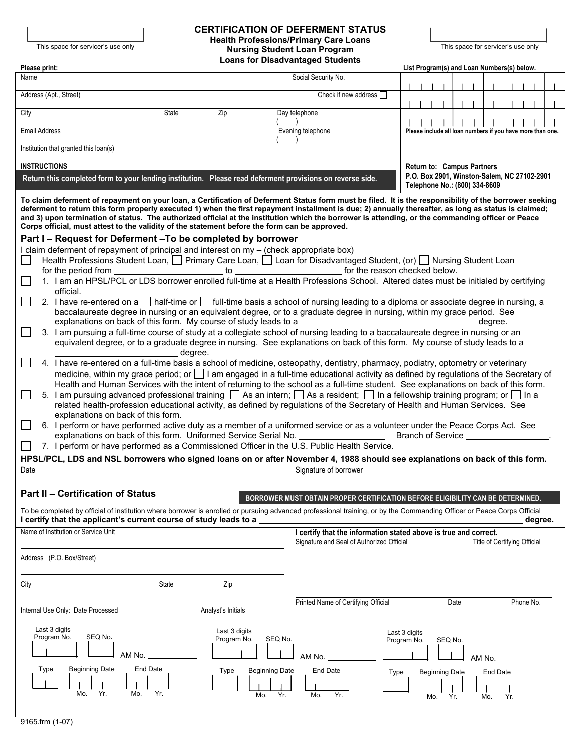# This space for servicer's use only **This space for servicer's use only**<br> **Health Professions/Primary Care Loans Care State only and Division Student Loan Program CERTIFICATION OF DEFERMENT STATUS Nursing Student Loan Program**

| Please print:                                                                                                                                                                                                                                                                                                                                                                                                                                                                                                                                                         | <b>Loans for Disadvantaged Students</b>                                                                                                       | List Program(s) and Loan Numbers(s) below.                 |         |     |     |  |  |  |
|-----------------------------------------------------------------------------------------------------------------------------------------------------------------------------------------------------------------------------------------------------------------------------------------------------------------------------------------------------------------------------------------------------------------------------------------------------------------------------------------------------------------------------------------------------------------------|-----------------------------------------------------------------------------------------------------------------------------------------------|------------------------------------------------------------|---------|-----|-----|--|--|--|
| Name                                                                                                                                                                                                                                                                                                                                                                                                                                                                                                                                                                  | Social Security No.                                                                                                                           |                                                            |         |     |     |  |  |  |
| Address (Apt., Street)                                                                                                                                                                                                                                                                                                                                                                                                                                                                                                                                                | Check if new address $\Box$                                                                                                                   |                                                            |         |     |     |  |  |  |
| State<br>Zip<br>City                                                                                                                                                                                                                                                                                                                                                                                                                                                                                                                                                  | Day telephone                                                                                                                                 |                                                            |         |     |     |  |  |  |
| <b>Email Address</b>                                                                                                                                                                                                                                                                                                                                                                                                                                                                                                                                                  | Evening telephone                                                                                                                             | Please include all loan numbers if you have more than one. |         |     |     |  |  |  |
| Institution that granted this loan(s)                                                                                                                                                                                                                                                                                                                                                                                                                                                                                                                                 |                                                                                                                                               |                                                            |         |     |     |  |  |  |
| <b>INSTRUCTIONS</b><br>Return to: Campus Partners                                                                                                                                                                                                                                                                                                                                                                                                                                                                                                                     |                                                                                                                                               |                                                            |         |     |     |  |  |  |
| P.O. Box 2901, Winston-Salem, NC 27102-2901<br>Return this completed form to your lending institution. Please read deferment provisions on reverse side.<br>Telephone No.: (800) 334-8609                                                                                                                                                                                                                                                                                                                                                                             |                                                                                                                                               |                                                            |         |     |     |  |  |  |
| To claim deferment of repayment on your loan, a Certification of Deferment Status form must be filed. It is the responsibility of the borrower seeking<br>deferment to return this form properly executed 1) when the first repayment installment is due; 2) annually thereafter, as long as status is claimed;<br>and 3) upon termination of status. The authorized official at the institution which the borrower is attending, or the commanding officer or Peace<br>Corps official, must attest to the validity of the statement before the form can be approved. |                                                                                                                                               |                                                            |         |     |     |  |  |  |
| Part I - Request for Deferment - To be completed by borrower                                                                                                                                                                                                                                                                                                                                                                                                                                                                                                          |                                                                                                                                               |                                                            |         |     |     |  |  |  |
| I claim deferment of repayment of principal and interest on my - (check appropriate box)<br>Health Professions Student Loan, $\Box$ Primary Care Loan, $\Box$ Loan for Disadvantaged Student, (or) $\Box$ Nursing Student Loan<br>$\Box$                                                                                                                                                                                                                                                                                                                              |                                                                                                                                               |                                                            |         |     |     |  |  |  |
| 1. I am an HPSL/PCL or LDS borrower enrolled full-time at a Health Professions School. Altered dates must be initialed by certifying                                                                                                                                                                                                                                                                                                                                                                                                                                  |                                                                                                                                               |                                                            |         |     |     |  |  |  |
| official.                                                                                                                                                                                                                                                                                                                                                                                                                                                                                                                                                             |                                                                                                                                               |                                                            |         |     |     |  |  |  |
| 2. I have re-entered on a □ half-time or □ full-time basis a school of nursing leading to a diploma or associate degree in nursing, a<br>baccalaureate degree in nursing or an equivalent degree, or to a graduate degree in nursing, within my grace period. See                                                                                                                                                                                                                                                                                                     |                                                                                                                                               |                                                            |         |     |     |  |  |  |
| explanations on back of this form. My course of study leads to a<br>degree.<br>3. I am pursuing a full-time course of study at a collegiate school of nursing leading to a baccalaureate degree in nursing or an                                                                                                                                                                                                                                                                                                                                                      |                                                                                                                                               |                                                            |         |     |     |  |  |  |
| equivalent degree, or to a graduate degree in nursing. See explanations on back of this form. My course of study leads to a<br>degree.                                                                                                                                                                                                                                                                                                                                                                                                                                |                                                                                                                                               |                                                            |         |     |     |  |  |  |
| 4. I have re-entered on a full-time basis a school of medicine, osteopathy, dentistry, pharmacy, podiatry, optometry or veterinary                                                                                                                                                                                                                                                                                                                                                                                                                                    |                                                                                                                                               |                                                            |         |     |     |  |  |  |
| medicine, within my grace period; or 1 am engaged in a full-time educational activity as defined by regulations of the Secretary of<br>Health and Human Services with the intent of returning to the school as a full-time student. See explanations on back of this form.                                                                                                                                                                                                                                                                                            |                                                                                                                                               |                                                            |         |     |     |  |  |  |
| 5. I am pursuing advanced professional training $\Box$ As an intern; $\Box$ As a resident; $\Box$ In a fellowship training program; or $\Box$ In a<br>related health-profession educational activity, as defined by regulations of the Secretary of Health and Human Services. See<br>explanations on back of this form.                                                                                                                                                                                                                                              |                                                                                                                                               |                                                            |         |     |     |  |  |  |
| 6. I perform or have performed active duty as a member of a uniformed service or as a volunteer under the Peace Corps Act. See<br>explanations on back of this form. Uniformed Service Serial No.<br><b>Branch of Service Example 2014</b>                                                                                                                                                                                                                                                                                                                            |                                                                                                                                               |                                                            |         |     |     |  |  |  |
| 7. I perform or have performed as a Commissioned Officer in the U.S. Public Health Service.                                                                                                                                                                                                                                                                                                                                                                                                                                                                           |                                                                                                                                               |                                                            |         |     |     |  |  |  |
| HPSL/PCL, LDS and NSL borrowers who signed loans on or after November 4, 1988 should see explanations on back of this form.<br>Signature of borrower<br>Date                                                                                                                                                                                                                                                                                                                                                                                                          |                                                                                                                                               |                                                            |         |     |     |  |  |  |
|                                                                                                                                                                                                                                                                                                                                                                                                                                                                                                                                                                       |                                                                                                                                               |                                                            |         |     |     |  |  |  |
| <b>Part II - Certification of Status</b>                                                                                                                                                                                                                                                                                                                                                                                                                                                                                                                              | BORROWER MUST OBTAIN PROPER CERTIFICATION BEFORE ELIGIBILITY CAN BE DETERMINED.                                                               |                                                            |         |     |     |  |  |  |
| To be completed by official of institution where borrower is enrolled or pursuing advanced professional training, or by the Commanding Officer or Peace Corps Official<br>I certify that the applicant's current course of study leads to a<br>degree.                                                                                                                                                                                                                                                                                                                |                                                                                                                                               |                                                            |         |     |     |  |  |  |
| Name of Institution or Service Unit                                                                                                                                                                                                                                                                                                                                                                                                                                                                                                                                   | I certify that the information stated above is true and correct.<br>Signature and Seal of Authorized Official<br>Title of Certifying Official |                                                            |         |     |     |  |  |  |
| Address (P.O. Box/Street)                                                                                                                                                                                                                                                                                                                                                                                                                                                                                                                                             |                                                                                                                                               |                                                            |         |     |     |  |  |  |
| <b>State</b><br>Zip<br>City                                                                                                                                                                                                                                                                                                                                                                                                                                                                                                                                           |                                                                                                                                               |                                                            |         |     |     |  |  |  |
| Internal Use Only: Date Processed<br>Analyst's Initials                                                                                                                                                                                                                                                                                                                                                                                                                                                                                                               | Printed Name of Certifying Official<br>Date<br>Phone No.                                                                                      |                                                            |         |     |     |  |  |  |
| Last 3 digits<br>Last 3 digits<br>SEQ No.<br>Program No.<br>Program No.<br>SEQ No.                                                                                                                                                                                                                                                                                                                                                                                                                                                                                    |                                                                                                                                               | Last 3 digits                                              |         |     |     |  |  |  |
| AM No.                                                                                                                                                                                                                                                                                                                                                                                                                                                                                                                                                                | AM No.                                                                                                                                        | Program No.                                                | SEQ No. |     |     |  |  |  |
| AM No.<br><b>Beginning Date</b><br><b>End Date</b><br>Type<br><b>Type</b><br><b>Beginning Date</b><br>End Date<br><b>Type</b><br><b>Beginning Date</b><br><b>End Date</b>                                                                                                                                                                                                                                                                                                                                                                                             |                                                                                                                                               |                                                            |         |     |     |  |  |  |
| Yr.<br>Mo.<br>Mo.<br>Yr.<br>Yr.<br>Mo.                                                                                                                                                                                                                                                                                                                                                                                                                                                                                                                                | Mo.<br>Yr.                                                                                                                                    | Mo.                                                        | Yr.     | Mo. | Yr. |  |  |  |